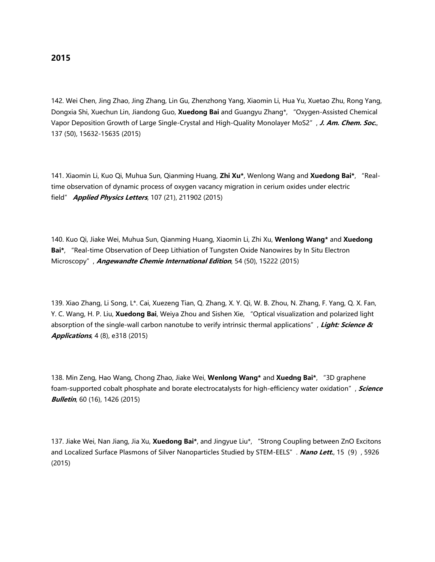142. Wei Chen, Jing Zhao, Jing Zhang, Lin Gu, Zhenzhong Yang, Xiaomin Li, Hua Yu, Xuetao Zhu, Rong Yang, Dongxia Shi, Xuechun Lin, Jiandong Guo, **Xuedong Bai** and Guangyu Zhang\*, "Oxygen-Assisted Chemical Vapor Deposition Growth of Large Single-Crystal and High-Quality Monolayer MoS2", **J. Am. Chem. Soc.**, 137 (50), 15632-15635 (2015)

141. Xiaomin Li, Kuo Qi, Muhua Sun, Qianming Huang, **Zhi Xu\***, Wenlong Wang and **Xuedong Bai\***, "Realtime observation of dynamic process of oxygen vacancy migration in cerium oxides under electric field" **Applied Physics Letters**, 107 (21), 211902 (2015)

140. Kuo Qi, Jiake Wei, Muhua Sun, Qianming Huang, Xiaomin Li, Zhi Xu, **Wenlong Wang\*** and **Xuedong Bai\***, "Real-time Observation of Deep Lithiation of Tungsten Oxide Nanowires by In Situ Electron Microscopy", **Angewandte Chemie International Edition**, 54 (50), 15222 (2015)

139. Xiao Zhang, Li Song, L\*. Cai, Xuezeng Tian, Q. Zhang, X. Y. Qi, W. B. Zhou, N. Zhang, F. Yang, Q. X. Fan, Y. C. Wang, H. P. Liu, **Xuedong Bai**, Weiya Zhou and Sishen Xie, "Optical visualization and polarized light absorption of the single-wall carbon nanotube to verify intrinsic thermal applications", **Light: Science & Applications**, 4 (8), e318 (2015)

138. Min Zeng, Hao Wang, Chong Zhao, Jiake Wei, **Wenlong Wang\*** and **Xuedng Bai\***, "3D graphene foam-supported cobalt phosphate and borate electrocatalysts for high-efficiency water oxidation", **Science Bulletin**, 60 (16), 1426 (2015)

137. Jiake Wei, Nan Jiang, Jia Xu, **Xuedong Bai\***, and Jingyue Liu\*, "Strong Coupling between ZnO Excitons and Localized Surface Plasmons of Silver Nanoparticles Studied by STEM-EELS". **Nano Lett.**, 15(9), 5926 (2015)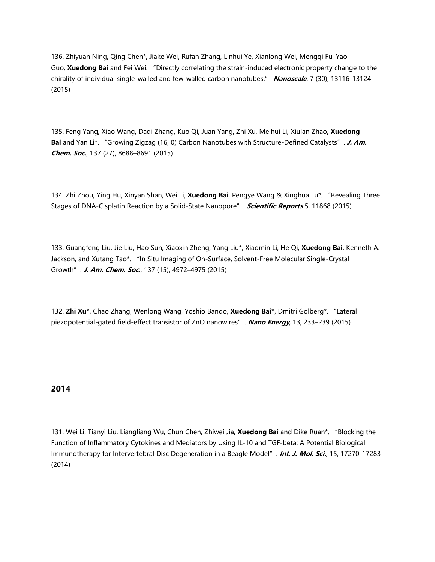136. Zhiyuan Ning, Qing Chen\*, Jiake Wei, Rufan Zhang, Linhui Ye, Xianlong Wei, Mengqi Fu, Yao Guo, **Xuedong Bai** and Fei Wei. "Directly correlating the strain-induced electronic property change to the chirality of individual single-walled and few-walled carbon nanotubes." **Nanoscale**, 7 (30), 13116-13124 (2015)

135. Feng Yang, Xiao Wang, Daqi Zhang, Kuo Qi, Juan Yang, Zhi Xu, Meihui Li, Xiulan Zhao, **Xuedong Bai** and Yan Li\*. "Growing Zigzag (16, 0) Carbon Nanotubes with Structure-Defined Catalysts". **J. Am. Chem. Soc.**, 137 (27), 8688–8691 (2015)

134. Zhi Zhou, Ying Hu, Xinyan Shan, Wei Li, **Xuedong Bai**, Pengye Wang & Xinghua Lu\*. "Revealing Three Stages of DNA-Cisplatin Reaction by a Solid-State Nanopore". **Scientific Reports** 5, 11868 (2015)

133. Guangfeng Liu, Jie Liu, Hao Sun, Xiaoxin Zheng, Yang Liu\*, Xiaomin Li, He Qi, **Xuedong Bai**, Kenneth A. Jackson, and Xutang Tao\*. "In Situ Imaging of On-Surface, Solvent-Free Molecular Single-Crystal Growth". **J. Am. Chem. Soc.**, 137 (15), 4972–4975 (2015)

132. **Zhi Xu\***, Chao Zhang, Wenlong Wang, Yoshio Bando, **Xuedong Bai\***, Dmitri Golberg\*. "Lateral piezopotential-gated field-effect transistor of ZnO nanowires". **Nano Energy**, 13, 233–239 (2015)

# **2014**

131. Wei Li, Tianyi Liu, Liangliang Wu, Chun Chen, Zhiwei Jia, **Xuedong Bai** and Dike Ruan\*. "Blocking the Function of Inflammatory Cytokines and Mediators by Using IL-10 and TGF-beta: A Potential Biological Immunotherapy for Intervertebral Disc Degeneration in a Beagle Model". **Int. J. Mol. Sci.**, 15, 17270-17283 (2014)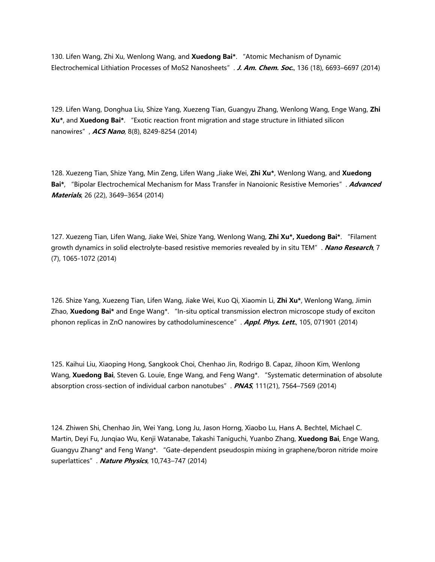130. Lifen Wang, Zhi Xu, Wenlong Wang, and **Xuedong Bai\***. "Atomic Mechanism of Dynamic Electrochemical Lithiation Processes of MoS2 Nanosheets". **J. Am. Chem. Soc.**, 136 (18), 6693–6697 (2014)

129. Lifen Wang, Donghua Liu, Shize Yang, Xuezeng Tian, Guangyu Zhang, Wenlong Wang, Enge Wang, **Zhi Xu\***, and **Xuedong Bai\***. "Exotic reaction front migration and stage structure in lithiated silicon nanowires", **ACS Nano**, 8(8), 8249-8254 (2014)

128. Xuezeng Tian, Shize Yang, Min Zeng, Lifen Wang ,Jiake Wei, **Zhi Xu\***, Wenlong Wang, and **Xuedong Bai\***, "Bipolar Electrochemical Mechanism for Mass Transfer in Nanoionic Resistive Memories". **Advanced Materials**, 26 (22), 3649–3654 (2014)

127. Xuezeng Tian, Lifen Wang, Jiake Wei, Shize Yang, Wenlong Wang, **Zhi Xu\*, Xuedong Bai\***. "Filament growth dynamics in solid electrolyte-based resistive memories revealed by in situ TEM". **Nano Research**, 7 (7), 1065-1072 (2014)

126. Shize Yang, Xuezeng Tian, Lifen Wang, Jiake Wei, Kuo Qi, Xiaomin Li, **Zhi Xu\***, Wenlong Wang, Jimin Zhao, **Xuedong Bai\*** and Enge Wang\*. "In-situ optical transmission electron microscope study of exciton phonon replicas in ZnO nanowires by cathodoluminescence". **Appl. Phys. Lett.**, 105, 071901 (2014)

125. Kaihui Liu, Xiaoping Hong, Sangkook Choi, Chenhao Jin, Rodrigo B. Capaz, Jihoon Kim, Wenlong Wang, **Xuedong Bai**, Steven G. Louie, Enge Wang, and Feng Wang\*. "Systematic determination of absolute absorption cross-section of individual carbon nanotubes". **PNAS**, 111(21), 7564–7569 (2014)

124. Zhiwen Shi, Chenhao Jin, Wei Yang, Long Ju, Jason Horng, Xiaobo Lu, Hans A. Bechtel, Michael C. Martin, Deyi Fu, Junqiao Wu, Kenji Watanabe, Takashi Taniguchi, Yuanbo Zhang, **Xuedong Bai**, Enge Wang, Guangyu Zhang\* and Feng Wang\*. "Gate-dependent pseudospin mixing in graphene/boron nitride moire superlattices". **Nature Physics**, 10,743–747 (2014)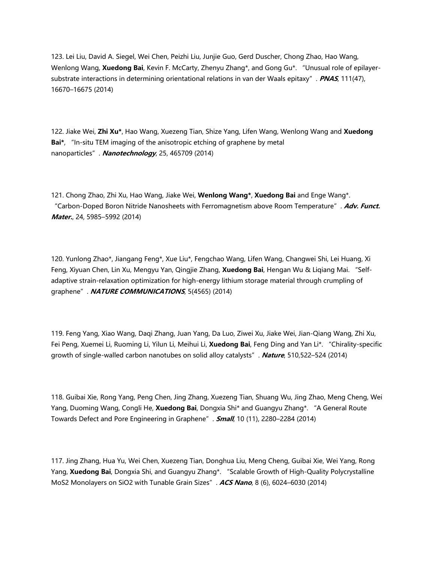123. Lei Liu, David A. Siegel, Wei Chen, Peizhi Liu, Junjie Guo, Gerd Duscher, Chong Zhao, Hao Wang, Wenlong Wang, **Xuedong Bai**, Kevin F. McCarty, Zhenyu Zhang\*, and Gong Gu\*. "Unusual role of epilayersubstrate interactions in determining orientational relations in van der Waals epitaxy". **PNAS**, 111(47), 16670–16675 (2014)

122. Jiake Wei, **Zhi Xu\***, Hao Wang, Xuezeng Tian, Shize Yang, Lifen Wang, Wenlong Wang and **Xuedong Bai\***, "In-situ TEM imaging of the anisotropic etching of graphene by metal nanoparticles". **Nanotechnology**, 25, 465709 (2014)

121. Chong Zhao, Zhi Xu, Hao Wang, Jiake Wei, **Wenlong Wang\***, **Xuedong Bai** and Enge Wang\*. "Carbon-Doped Boron Nitride Nanosheets with Ferromagnetism above Room Temperature". **Adv. Funct. Mater.**, 24, 5985–5992 (2014)

120. Yunlong Zhao\*, Jiangang Feng\*, Xue Liu\*, Fengchao Wang, Lifen Wang, Changwei Shi, Lei Huang, Xi Feng, Xiyuan Chen, Lin Xu, Mengyu Yan, Qingjie Zhang, **Xuedong Bai**, Hengan Wu & Liqiang Mai. "Selfadaptive strain-relaxation optimization for high-energy lithium storage material through crumpling of graphene". **NATURE COMMUNICATIONS**, 5(4565) (2014)

119. Feng Yang, Xiao Wang, Daqi Zhang, Juan Yang, Da Luo, Ziwei Xu, Jiake Wei, Jian-Qiang Wang, Zhi Xu, Fei Peng, Xuemei Li, Ruoming Li, Yilun Li, Meihui Li, **Xuedong Bai**, Feng Ding and Yan Li\*. "Chirality-specific growth of single-walled carbon nanotubes on solid alloy catalysts". **Nature**, 510,522–524 (2014)

118. Guibai Xie, Rong Yang, Peng Chen, Jing Zhang, Xuezeng Tian, Shuang Wu, Jing Zhao, Meng Cheng, Wei Yang, Duoming Wang, Congli He, **Xuedong Bai**, Dongxia Shi\* and Guangyu Zhang\*. "A General Route Towards Defect and Pore Engineering in Graphene". **Small**, 10 (11), 2280–2284 (2014)

117. Jing Zhang, Hua Yu, Wei Chen, Xuezeng Tian, Donghua Liu, Meng Cheng, Guibai Xie, Wei Yang, Rong Yang, **Xuedong Bai**, Dongxia Shi, and Guangyu Zhang\*. "Scalable Growth of High-Quality Polycrystalline MoS2 Monolayers on SiO2 with Tunable Grain Sizes". **ACS Nano**, 8 (6), 6024–6030 (2014)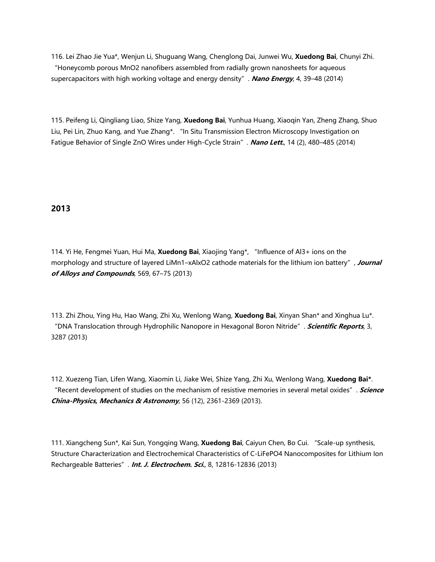116. Lei Zhao Jie Yua\*, Wenjun Li, Shuguang Wang, Chenglong Dai, Junwei Wu, **Xuedong Bai**, Chunyi Zhi. "Honeycomb porous MnO2 nanofibers assembled from radially grown nanosheets for aqueous supercapacitors with high working voltage and energy density". **Nano Energy**, 4, 39–48 (2014)

115. Peifeng Li, Qingliang Liao, Shize Yang, **Xuedong Bai**, Yunhua Huang, Xiaoqin Yan, Zheng Zhang, Shuo Liu, Pei Lin, Zhuo Kang, and Yue Zhang\*. "In Situ Transmission Electron Microscopy Investigation on Fatigue Behavior of Single ZnO Wires under High-Cycle Strain". **Nano Lett.**, 14 (2), 480–485 (2014)

### **2013**

114. Yi He, Fengmei Yuan, Hui Ma, **Xuedong Bai**, Xiaojing Yang\*, "Influence of Al3+ ions on the morphology and structure of layered LiMn1–xAlxO2 cathode materials for the lithium ion battery", **Journal of Alloys and Compounds**, 569, 67–75 (2013)

113. Zhi Zhou, Ying Hu, Hao Wang, Zhi Xu, Wenlong Wang, **Xuedong Bai**, Xinyan Shan\* and Xinghua Lu\*. "DNA Translocation through Hydrophilic Nanopore in Hexagonal Boron Nitride". **Scientific Reports**, 3, 3287 (2013)

112. Xuezeng Tian, Lifen Wang, Xiaomin Li, Jiake Wei, Shize Yang, Zhi Xu, Wenlong Wang, **Xuedong Bai\***. "Recent development of studies on the mechanism of resistive memories in several metal oxides". **Science China-Physics, Mechanics & Astronomy**, 56 (12), 2361-2369 (2013).

111. Xiangcheng Sun\*, Kai Sun, Yongqing Wang, **Xuedong Bai**, Caiyun Chen, Bo Cui. "Scale-up synthesis, Structure Characterization and Electrochemical Characteristics of C-LiFePO4 Nanocomposites for Lithium Ion Rechargeable Batteries". **Int. J. Electrochem. Sci.**, 8, 12816-12836 (2013)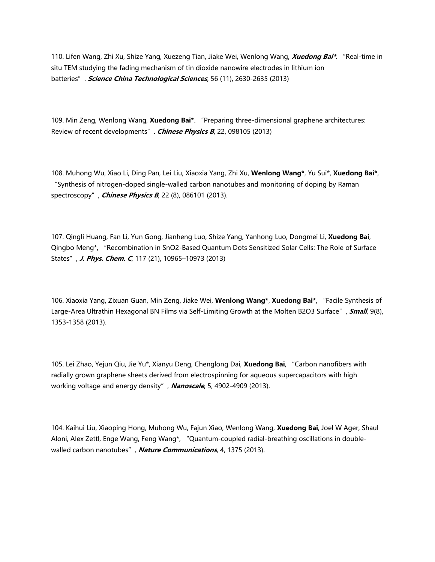110. Lifen Wang, Zhi Xu, Shize Yang, Xuezeng Tian, Jiake Wei, Wenlong Wang, **Xuedong Bai\***. "Real-time in situ TEM studying the fading mechanism of tin dioxide nanowire electrodes in lithium ion batteries". **Science China Technological Sciences**, 56 (11), 2630-2635 (2013)

109. Min Zeng, Wenlong Wang, **Xuedong Bai\***. "Preparing three-dimensional graphene architectures: Review of recent developments". **Chinese Physics B**, 22, 098105 (2013)

108. Muhong Wu, Xiao Li, Ding Pan, Lei Liu, Xiaoxia Yang, Zhi Xu, **Wenlong Wang\***, Yu Sui\*, **Xuedong Bai\***, "Synthesis of nitrogen-doped single-walled carbon nanotubes and monitoring of doping by Raman spectroscopy", **Chinese Physics B**, 22 (8), 086101 (2013).

107. Qingli Huang, Fan Li, Yun Gong, Jianheng Luo, Shize Yang, Yanhong Luo, Dongmei Li, **Xuedong Bai**, Qingbo Meng\*, "Recombination in SnO2-Based Quantum Dots Sensitized Solar Cells: The Role of Surface States", **J. Phys. Chem. C**, 117 (21), 10965–10973 (2013)

106. Xiaoxia Yang, Zixuan Guan, Min Zeng, Jiake Wei, **Wenlong Wang\***, **Xuedong Bai\***, "Facile Synthesis of Large-Area Ultrathin Hexagonal BN Films via Self-Limiting Growth at the Molten B2O3 Surface", **Small**, 9(8), 1353-1358 (2013).

105. Lei Zhao, Yejun Qiu, Jie Yu\*, Xianyu Deng, Chenglong Dai, **Xuedong Bai**, "Carbon nanofibers with radially grown graphene sheets derived from electrospinning for aqueous supercapacitors with high working voltage and energy density", **Nanoscale**, 5, 4902-4909 (2013).

104. Kaihui Liu, Xiaoping Hong, Muhong Wu, Fajun Xiao, Wenlong Wang, **Xuedong Bai**, Joel W Ager, Shaul Aloni, Alex Zettl, Enge Wang, Feng Wang\*, "Quantum-coupled radial-breathing oscillations in doublewalled carbon nanotubes", **Nature Communications**, 4, 1375 (2013).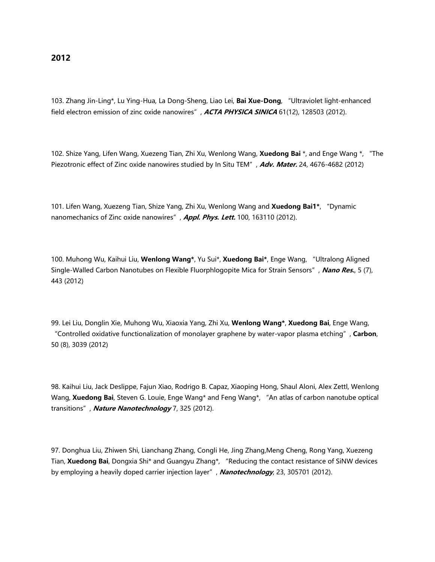103. Zhang Jin-Ling\*, Lu Ying-Hua, La Dong-Sheng, Liao Lei, **Bai Xue-Dong**, "Ultraviolet light-enhanced field electron emission of zinc oxide nanowires", **ACTA PHYSICA SINICA** 61(12), 128503 (2012).

102. Shize Yang, Lifen Wang, Xuezeng Tian, Zhi Xu, Wenlong Wang, **Xuedong Bai** \*, and Enge Wang \*, "The Piezotronic effect of Zinc oxide nanowires studied by In Situ TEM", **Adv. Mater.** 24, 4676-4682 (2012)

101. Lifen Wang, Xuezeng Tian, Shize Yang, Zhi Xu, Wenlong Wang and **Xuedong Bai1\***, "Dynamic nanomechanics of Zinc oxide nanowires", **Appl. Phys. Lett.** 100, 163110 (2012).

100. Muhong Wu, Kaihui Liu, **Wenlong Wang\***, Yu Sui\*, **Xuedong Bai\***, Enge Wang, "Ultralong Aligned Single-Walled Carbon Nanotubes on Flexible Fluorphlogopite Mica for Strain Sensors", **Nano Res.**, 5 (7), 443 (2012)

99. Lei Liu, Donglin Xie, Muhong Wu, Xiaoxia Yang, Zhi Xu, **Wenlong Wang\***, **Xuedong Bai**, Enge Wang, "Controlled oxidative functionalization of monolayer graphene by water-vapor plasma etching", **Carbon**, 50 (8), 3039 (2012)

98. Kaihui Liu, Jack Deslippe, Fajun Xiao, Rodrigo B. Capaz, Xiaoping Hong, Shaul Aloni, Alex Zettl, Wenlong Wang, **Xuedong Bai**, Steven G. Louie, Enge Wang\* and Feng Wang\*, "An atlas of carbon nanotube optical transitions", **Nature Nanotechnology** 7, 325 (2012).

97. Donghua Liu, Zhiwen Shi, Lianchang Zhang, Congli He, Jing Zhang,Meng Cheng, Rong Yang, Xuezeng Tian, **Xuedong Bai**, Dongxia Shi\* and Guangyu Zhang\*, "Reducing the contact resistance of SiNW devices by employing a heavily doped carrier injection layer", **Nanotechnology**, 23, 305701 (2012).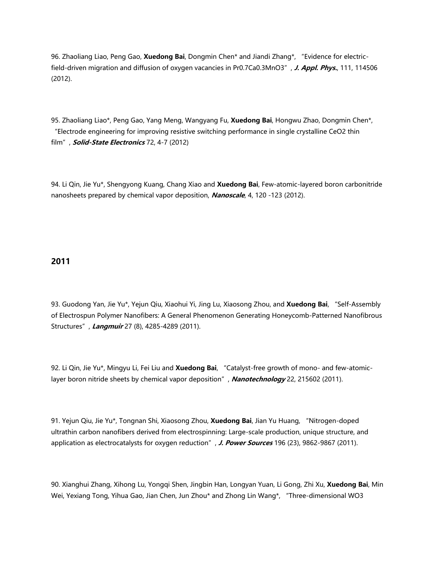96. Zhaoliang Liao, Peng Gao, **Xuedong Bai**, Dongmin Chen\* and Jiandi Zhang\*, "Evidence for electricfield-driven migration and diffusion of oxygen vacancies in Pr0.7Ca0.3MnO3", **J. Appl. Phys.**, 111, 114506 (2012).

95. Zhaoliang Liao\*, Peng Gao, Yang Meng, Wangyang Fu, **Xuedong Bai**, Hongwu Zhao, Dongmin Chen\*, "Electrode engineering for improving resistive switching performance in single crystalline CeO2 thin film", **Solid-State Electronics** 72, 4-7 (2012)

94. Li Qin, Jie Yu\*, Shengyong Kuang, Chang Xiao and **Xuedong Bai**, Few-atomic-layered boron carbonitride nanosheets prepared by chemical vapor deposition, **Nanoscale**, 4, 120 -123 (2012).

# **2011**

93. Guodong Yan, Jie Yu\*, Yejun Qiu, Xiaohui Yi, Jing Lu, Xiaosong Zhou, and **Xuedong Bai**, "Self-Assembly of Electrospun Polymer Nanofibers: A General Phenomenon Generating Honeycomb-Patterned Nanofibrous Structures", **Langmuir** 27 (8), 4285-4289 (2011).

92. Li Qin, Jie Yu\*, Mingyu Li, Fei Liu and **Xuedong Bai**, "Catalyst-free growth of mono- and few-atomiclayer boron nitride sheets by chemical vapor deposition", **Nanotechnology** 22, 215602 (2011).

91. Yejun Qiu, Jie Yu\*, Tongnan Shi, Xiaosong Zhou, **Xuedong Bai**, Jian Yu Huang, "Nitrogen-doped ultrathin carbon nanofibers derived from electrospinning: Large-scale production, unique structure, and application as electrocatalysts for oxygen reduction", **J. Power Sources** 196 (23), 9862-9867 (2011).

90. Xianghui Zhang, Xihong Lu, Yongqi Shen, Jingbin Han, Longyan Yuan, Li Gong, Zhi Xu, **Xuedong Bai**, Min Wei, Yexiang Tong, Yihua Gao, Jian Chen, Jun Zhou\* and Zhong Lin Wang\*, "Three-dimensional WO3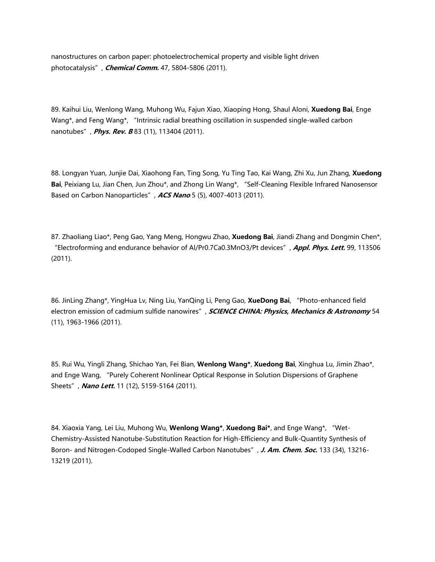nanostructures on carbon paper: photoelectrochemical property and visible light driven photocatalysis", **Chemical Comm.** 47, 5804-5806 (2011).

89. Kaihui Liu, Wenlong Wang, Muhong Wu, Fajun Xiao, Xiaoping Hong, Shaul Aloni, **Xuedong Bai**, Enge Wang\*, and Feng Wang\*, "Intrinsic radial breathing oscillation in suspended single-walled carbon nanotubes", **Phys. Rev. B** 83 (11), 113404 (2011).

88. Longyan Yuan, Junjie Dai, Xiaohong Fan, Ting Song, Yu Ting Tao, Kai Wang, Zhi Xu, Jun Zhang, **Xuedong Bai**, Peixiang Lu, Jian Chen, Jun Zhou\*, and Zhong Lin Wang\*, "Self-Cleaning Flexible Infrared Nanosensor Based on Carbon Nanoparticles", **ACS Nano** 5 (5), 4007-4013 (2011).

87. Zhaoliang Liao\*, Peng Gao, Yang Meng, Hongwu Zhao, **Xuedong Bai**, Jiandi Zhang and Dongmin Chen\*, "Electroforming and endurance behavior of Al/Pr0.7Ca0.3MnO3/Pt devices", **Appl. Phys. Lett.** 99, 113506 (2011).

86. JinLing Zhang\*, YingHua Lv, Ning Liu, YanQing Li, Peng Gao, **XueDong Bai**, "Photo-enhanced field electron emission of cadmium sulfide nanowires", **SCIENCE CHINA: Physics, Mechanics & Astronomy** 54 (11), 1963-1966 (2011).

85. Rui Wu, Yingli Zhang, Shichao Yan, Fei Bian, **Wenlong Wang\***, **Xuedong Bai**, Xinghua Lu, Jimin Zhao\*, and Enge Wang, "Purely Coherent Nonlinear Optical Response in Solution Dispersions of Graphene Sheets", **Nano Lett.** 11 (12), 5159-5164 (2011).

84. Xiaoxia Yang, Lei Liu, Muhong Wu, **Wenlong Wang\***, **Xuedong Bai\***, and Enge Wang\*, "Wet-Chemistry-Assisted Nanotube-Substitution Reaction for High-Efficiency and Bulk-Quantity Synthesis of Boron- and Nitrogen-Codoped Single-Walled Carbon Nanotubes", **J. Am. Chem. Soc.** 133 (34), 13216- 13219 (2011).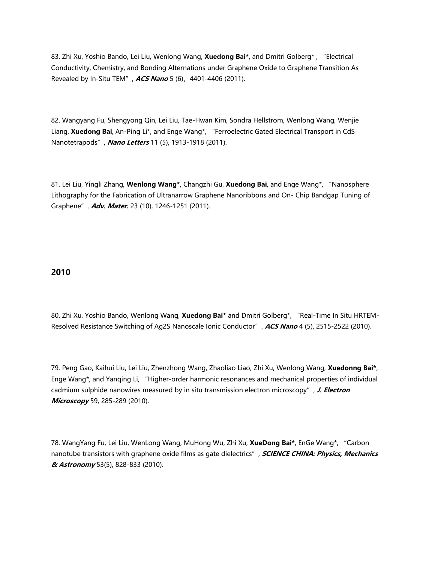83. Zhi Xu, Yoshio Bando, Lei Liu, Wenlong Wang, **Xuedong Bai\***, and Dmitri Golberg\* , "Electrical Conductivity, Chemistry, and Bonding Alternations under Graphene Oxide to Graphene Transition As Revealed by In-Situ TEM", **ACS Nano** 5 (6),4401-4406 (2011).

82. Wangyang Fu, Shengyong Qin, Lei Liu, Tae-Hwan Kim, Sondra Hellstrom, Wenlong Wang, Wenjie Liang, **Xuedong Bai**, An-Ping Li\*, and Enge Wang\*, "Ferroelectric Gated Electrical Transport in CdS Nanotetrapods", **Nano Letters** 11 (5), 1913-1918 (2011).

81. Lei Liu, Yingli Zhang, **Wenlong Wang\***, Changzhi Gu, **Xuedong Bai**, and Enge Wang\*, "Nanosphere Lithography for the Fabrication of Ultranarrow Graphene Nanoribbons and On- Chip Bandgap Tuning of Graphene", **Adv. Mater.** 23 (10), 1246-1251 (2011).

### **2010**

80. Zhi Xu, Yoshio Bando, Wenlong Wang, **Xuedong Bai\*** and Dmitri Golberg\*, "Real-Time In Situ HRTEM-Resolved Resistance Switching of Ag2S Nanoscale Ionic Conductor", **ACS Nano** 4 (5), 2515-2522 (2010).

79. Peng Gao, Kaihui Liu, Lei Liu, Zhenzhong Wang, Zhaoliao Liao, Zhi Xu, Wenlong Wang, **Xuedonng Bai\***, Enge Wang\*, and Yanqing Li, "Higher-order harmonic resonances and mechanical properties of individual cadmium sulphide nanowires measured by in situ transmission electron microscopy", **J. Electron Microscopy** 59, 285-289 (2010).

78. WangYang Fu, Lei Liu, WenLong Wang, MuHong Wu, Zhi Xu, **XueDong Bai\***, EnGe Wang\*, "Carbon nanotube transistors with graphene oxide films as gate dielectrics", **SCIENCE CHINA: Physics, Mechanics & Astronomy** 53(5), 828-833 (2010).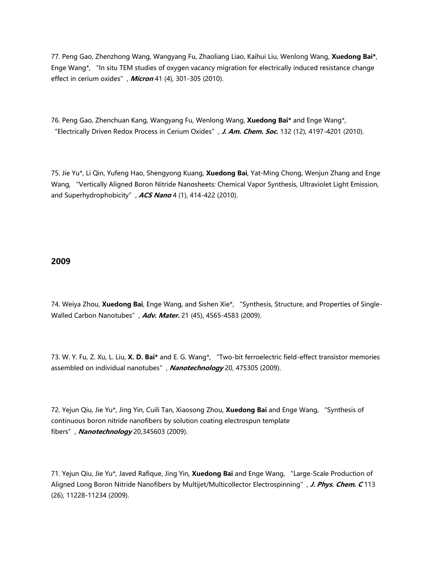77. Peng Gao, Zhenzhong Wang, Wangyang Fu, Zhaoliang Liao, Kaihui Liu, Wenlong Wang, **Xuedong Bai\***, Enge Wang\*, "In situ TEM studies of oxygen vacancy migration for electrically induced resistance change effect in cerium oxides", **Micron** 41 (4), 301-305 (2010).

76. Peng Gao, Zhenchuan Kang, Wangyang Fu, Wenlong Wang, **Xuedong Bai\*** and Enge Wang\*, "Electrically Driven Redox Process in Cerium Oxides", **J. Am. Chem. Soc.** 132 (12), 4197-4201 (2010).

75. Jie Yu\*, Li Qin, Yufeng Hao, Shengyong Kuang, **Xuedong Bai**, Yat-Ming Chong, Wenjun Zhang and Enge Wang, "Vertically Aligned Boron Nitride Nanosheets: Chemical Vapor Synthesis, Ultraviolet Light Emission, and Superhydrophobicity", **ACS Nano** 4 (1), 414-422 (2010).

## **2009**

74. Weiya Zhou, **Xuedong Bai**, Enge Wang, and Sishen Xie\*, "Synthesis, Structure, and Properties of Single-Walled Carbon Nanotubes", **Adv. Mater.** 21 (45), 4565-4583 (2009).

73. W. Y. Fu, Z. Xu, L. Liu, **X. D. Bai\*** and E. G. Wang\*, "Two-bit ferroelectric field-effect transistor memories assembled on individual nanotubes", **Nanotechnology** 20, 475305 (2009).

72. Yejun Qiu, Jie Yu\*, Jing Yin, Cuili Tan, Xiaosong Zhou, **Xuedong Bai** and Enge Wang, "Synthesis of continuous boron nitride nanofibers by solution coating electrospun template fibers", **Nanotechnology** 20,345603 (2009).

71. Yejun Qiu, Jie Yu\*, Javed Rafique, Jing Yin, **Xuedong Bai** and Enge Wang, "Large-Scale Production of Aligned Long Boron Nitride Nanofibers by Multijet/Multicollector Electrospinning", **J. Phys. Chem. C** 113 (26), 11228-11234 (2009).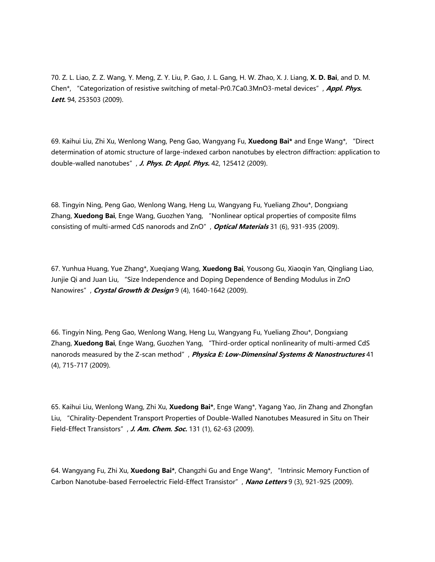70. Z. L. Liao, Z. Z. Wang, Y. Meng, Z. Y. Liu, P. Gao, J. L. Gang, H. W. Zhao, X. J. Liang, **X. D. Bai**, and D. M. Chen\*, "Categorization of resistive switching of metal-Pr0.7Ca0.3MnO3-metal devices", **Appl. Phys. Lett.** 94, 253503 (2009).

69. Kaihui Liu, Zhi Xu, Wenlong Wang, Peng Gao, Wangyang Fu, **Xuedong Bai\*** and Enge Wang\*, "Direct determination of atomic structure of large-indexed carbon nanotubes by electron diffraction: application to double-walled nanotubes", **J. Phys. D: Appl. Phys.** 42, 125412 (2009).

68. Tingyin Ning, Peng Gao, Wenlong Wang, Heng Lu, Wangyang Fu, Yueliang Zhou\*, Dongxiang Zhang, **Xuedong Bai**, Enge Wang, Guozhen Yang, "Nonlinear optical properties of composite films consisting of multi-armed CdS nanorods and ZnO", **Optical Materials** 31 (6), 931-935 (2009).

67. Yunhua Huang, Yue Zhang\*, Xueqiang Wang, **Xuedong Bai**, Yousong Gu, Xiaoqin Yan, Qingliang Liao, Junjie Qi and Juan Liu, "Size Independence and Doping Dependence of Bending Modulus in ZnO Nanowires", **Crystal Growth & Design** 9 (4), 1640-1642 (2009).

66. Tingyin Ning, Peng Gao, Wenlong Wang, Heng Lu, Wangyang Fu, Yueliang Zhou\*, Dongxiang Zhang, **Xuedong Bai**, Enge Wang, Guozhen Yang, "Third-order optical nonlinearity of multi-armed CdS nanorods measured by the Z-scan method", **Physica E: Low-Dimensinal Systems & Nanostructures** 41 (4), 715-717 (2009).

65. Kaihui Liu, Wenlong Wang, Zhi Xu, **Xuedong Bai\***, Enge Wang\*, Yagang Yao, Jin Zhang and Zhongfan Liu, "Chirality-Dependent Transport Properties of Double-Walled Nanotubes Measured in Situ on Their Field-Effect Transistors", **J. Am. Chem. Soc.** 131 (1), 62-63 (2009).

64. Wangyang Fu, Zhi Xu, **Xuedong Bai\***, Changzhi Gu and Enge Wang\*, "Intrinsic Memory Function of Carbon Nanotube-based Ferroelectric Field-Effect Transistor", **Nano Letters** 9 (3), 921-925 (2009).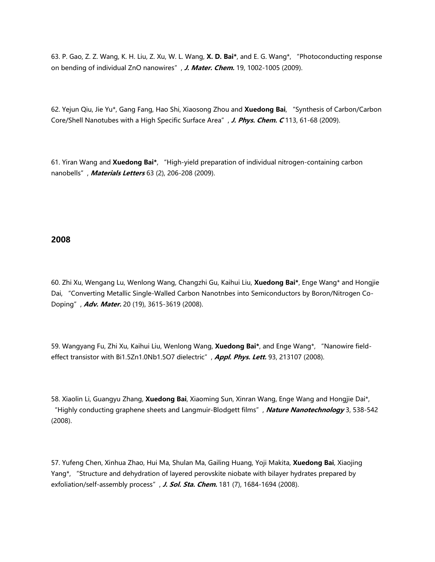63. P. Gao, Z. Z. Wang, K. H. Liu, Z. Xu, W. L. Wang, **X. D. Bai\***, and E. G. Wang\*, "Photoconducting response on bending of individual ZnO nanowires", **J. Mater. Chem.** 19, 1002-1005 (2009).

62. Yejun Qiu, Jie Yu\*, Gang Fang, Hao Shi, Xiaosong Zhou and **Xuedong Bai**, "Synthesis of Carbon/Carbon Core/Shell Nanotubes with a High Specific Surface Area", **J. Phys. Chem. C** 113, 61-68 (2009).

61. Yiran Wang and **Xuedong Bai\***, "High-yield preparation of individual nitrogen-containing carbon nanobells", **Materials Letters** 63 (2), 206-208 (2009).

## **2008**

60. Zhi Xu, Wengang Lu, Wenlong Wang, Changzhi Gu, Kaihui Liu, **Xuedong Bai\***, Enge Wang\* and Hongjie Dai, "Converting Metallic Single-Walled Carbon Nanotnbes into Semiconductors by Boron/Nitrogen Co-Doping", **Adv. Mater.** 20 (19), 3615-3619 (2008).

59. Wangyang Fu, Zhi Xu, Kaihui Liu, Wenlong Wang, **Xuedong Bai\***, and Enge Wang\*, "Nanowire fieldeffect transistor with Bi1.5Zn1.0Nb1.5O7 dielectric", **Appl. Phys. Lett.** 93, 213107 (2008).

58. Xiaolin Li, Guangyu Zhang, **Xuedong Bai**, Xiaoming Sun, Xinran Wang, Enge Wang and Hongjie Dai\*, "Highly conducting graphene sheets and Langmuir-Blodgett films", **Nature Nanotechnology** 3, 538-542 (2008).

57. Yufeng Chen, Xinhua Zhao, Hui Ma, Shulan Ma, Gailing Huang, Yoji Makita, **Xuedong Bai**, Xiaojing Yang\*, "Structure and dehydration of layered perovskite niobate with bilayer hydrates prepared by exfoliation/self-assembly process", **J. Sol. Sta. Chem.** 181 (7), 1684-1694 (2008).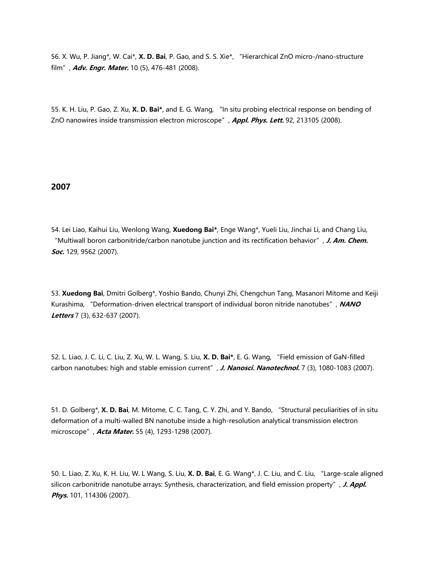56. X. Wu, P. Jiang\*, W. Cai\*, **X. D. Bai**, P. Gao, and S. S. Xie\*, "Hierarchical ZnO micro-/nano-structure film", **Adv. Engr. Mater.** 10 (5), 476-481 (2008).

55. K. H. Liu, P. Gao, Z. Xu, **X. D. Bai\***, and E. G. Wang, "In situ probing electrical response on bending of ZnO nanowires inside transmission electron microscope", **Appl. Phys. Lett.** 92, 213105 (2008).

#### **2007**

54. Lei Liao, Kaihui Liu, Wenlong Wang, **Xuedong Bai\***, Enge Wang\*, Yueli Liu, Jinchai Li, and Chang Liu, "Multiwall boron carbonitride/carbon nanotube junction and its rectification behavior", **J. Am. Chem. Soc.** 129, 9562 (2007).

53. **Xuedong Bai**, Dmitri Golberg\*, Yoshio Bando, Chunyi Zhi, Chengchun Tang, Masanori Mitome and Keiji Kurashima, "Deformation-driven electrical transport of individual boron nitride nanotubes", **NANO Letters** 7 (3), 632-637 (2007).

52. L. Liao, J. C. Li, C. Liu, Z. Xu, W. L. Wang, S. Liu, **X. D. Bai\***, E. G. Wang, "Field emission of GaN-filled carbon nanotubes: high and stable emission current", J. Nanosci. Nanotechnol. 7 (3), 1080-1083 (2007).

51. D. Golberg\*, **X. D. Bai**, M. Mitome, C. C. Tang, C. Y. Zhi, and Y. Bando, "Structural peculiarities of in situ deformation of a multi-walled BN nanotube inside a high-resolution analytical transmission electron microscope", **Acta Mater.** 55 (4), 1293-1298 (2007).

50. L. Liao, Z. Xu, K. H. Liu, W. L Wang, S. Liu, **X. D. Bai**, E. G. Wang\*, J. C. Liu, and C. Liu, "Large-scale aligned silicon carbonitride nanotube arrays: Synthesis, characterization, and field emission property", **J. Appl. Phys.** 101, 114306 (2007).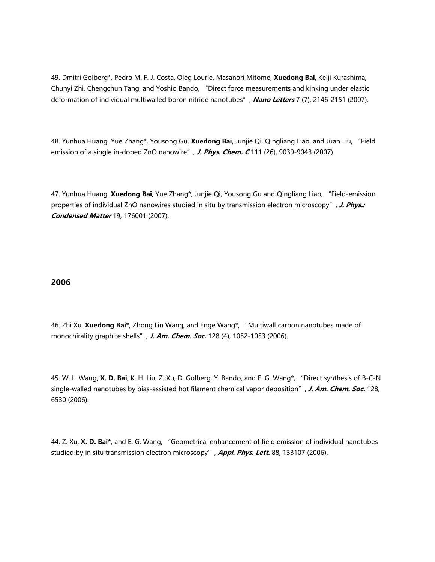49. Dmitri Golberg\*, Pedro M. F. J. Costa, Oleg Lourie, Masanori Mitome, **Xuedong Bai**, Keiji Kurashima, Chunyi Zhi, Chengchun Tang, and Yoshio Bando, "Direct force measurements and kinking under elastic deformation of individual multiwalled boron nitride nanotubes", **Nano Letters** 7 (7), 2146-2151 (2007).

48. Yunhua Huang, Yue Zhang\*, Yousong Gu, **Xuedong Bai**, Junjie Qi, Qingliang Liao, and Juan Liu, "Field emission of a single in-doped ZnO nanowire", **J. Phys. Chem. C** 111 (26), 9039-9043 (2007).

47. Yunhua Huang, **Xuedong Bai**, Yue Zhang\*, Junjie Qi, Yousong Gu and Qingliang Liao, "Field-emission properties of individual ZnO nanowires studied in situ by transmission electron microscopy", **J. Phys.: Condensed Matter** 19, 176001 (2007).

# **2006**

46. Zhi Xu, **Xuedong Bai\***, Zhong Lin Wang, and Enge Wang\*, "Multiwall carbon nanotubes made of monochirality graphite shells", **J. Am. Chem. Soc.** 128 (4), 1052-1053 (2006).

45. W. L. Wang, **X. D. Bai**, K. H. Liu, Z. Xu, D. Golberg, Y. Bando, and E. G. Wang\*, "Direct synthesis of B-C-N single-walled nanotubes by bias-assisted hot filament chemical vapor deposition", **J. Am. Chem. Soc.** 128, 6530 (2006).

44. Z. Xu, **X. D. Bai\***, and E. G. Wang, "Geometrical enhancement of field emission of individual nanotubes studied by in situ transmission electron microscopy", **Appl. Phys. Lett.** 88, 133107 (2006).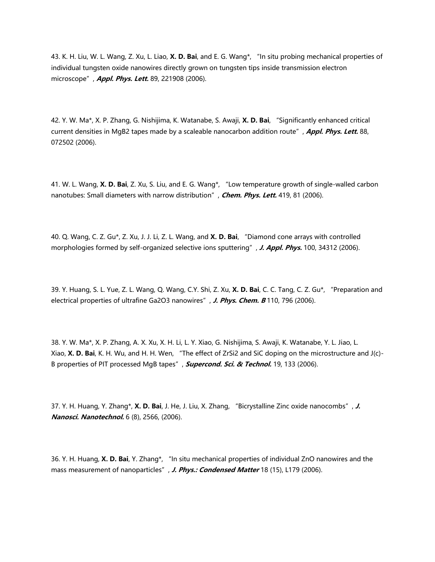43. K. H. Liu, W. L. Wang, Z. Xu, L. Liao, **X. D. Bai**, and E. G. Wang\*, "In situ probing mechanical properties of individual tungsten oxide nanowires directly grown on tungsten tips inside transmission electron microscope", **Appl. Phys. Lett.** 89, 221908 (2006).

42. Y. W. Ma\*, X. P. Zhang, G. Nishijima, K. Watanabe, S. Awaji, **X. D. Bai**, "Significantly enhanced critical current densities in MgB2 tapes made by a scaleable nanocarbon addition route", **Appl. Phys. Lett.** 88, 072502 (2006).

41. W. L. Wang, **X. D. Bai**, Z. Xu, S. Liu, and E. G. Wang\*, "Low temperature growth of single-walled carbon nanotubes: Small diameters with narrow distribution", **Chem. Phys. Lett.** 419, 81 (2006).

40. Q. Wang, C. Z. Gu\*, Z. Xu, J. J. Li, Z. L. Wang, and **X. D. Bai**, "Diamond cone arrays with controlled morphologies formed by self-organized selective ions sputtering", **J. Appl. Phys.** 100, 34312 (2006).

39. Y. Huang, S. L. Yue, Z. L. Wang, Q. Wang, C.Y. Shi, Z. Xu, **X. D. Bai**, C. C. Tang, C. Z. Gu\*, "Preparation and electrical properties of ultrafine Ga2O3 nanowires", J. Phys. Chem. B 110, 796 (2006).

38. Y. W. Ma\*, X. P. Zhang, A. X. Xu, X. H. Li, L. Y. Xiao, G. Nishijima, S. Awaji, K. Watanabe, Y. L. Jiao, L. Xiao, **X. D. Bai**, K. H. Wu, and H. H. Wen, "The effect of ZrSi2 and SiC doping on the microstructure and J(c)- B properties of PIT processed MgB tapes", **Supercond. Sci. & Technol.** 19, 133 (2006).

37. Y. H. Huang, Y. Zhang\*, **X. D. Bai**, J. He, J. Liu, X. Zhang, "Bicrystalline Zinc oxide nanocombs", **J. Nanosci. Nanotechnol.** 6 (8), 2566, (2006).

36. Y. H. Huang, **X. D. Bai**, Y. Zhang\*, "In situ mechanical properties of individual ZnO nanowires and the mass measurement of nanoparticles", **J. Phys.: Condensed Matter** 18 (15), L179 (2006).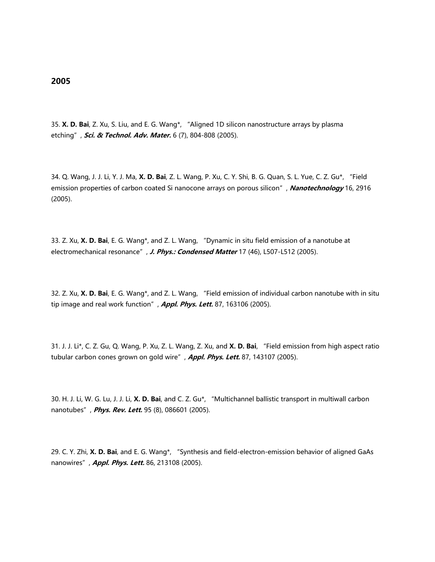35. **X. D. Bai**, Z. Xu, S. Liu, and E. G. Wang\*, "Aligned 1D silicon nanostructure arrays by plasma etching", **Sci. & Technol. Adv. Mater.** 6 (7), 804-808 (2005).

34. Q. Wang, J. J. Li, Y. J. Ma, **X. D. Bai**, Z. L. Wang, P. Xu, C. Y. Shi, B. G. Quan, S. L. Yue, C. Z. Gu\*, "Field emission properties of carbon coated Si nanocone arrays on porous silicon", **Nanotechnology** 16, 2916 (2005).

33. Z. Xu, **X. D. Bai**, E. G. Wang\*, and Z. L. Wang, "Dynamic in situ field emission of a nanotube at electromechanical resonance", **J. Phys.: Condensed Matter** 17 (46), L507-L512 (2005).

32. Z. Xu, **X. D. Bai**, E. G. Wang\*, and Z. L. Wang, "Field emission of individual carbon nanotube with in situ tip image and real work function", **Appl. Phys. Lett.** 87, 163106 (2005).

31. J. J. Li\*, C. Z. Gu, Q. Wang, P. Xu, Z. L. Wang, Z. Xu, and **X. D. Bai**, "Field emission from high aspect ratio tubular carbon cones grown on gold wire", **Appl. Phys. Lett.** 87, 143107 (2005).

30. H. J. Li, W. G. Lu, J. J. Li, **X. D. Bai**, and C. Z. Gu\*, "Multichannel ballistic transport in multiwall carbon nanotubes", **Phys. Rev. Lett.** 95 (8), 086601 (2005).

29. C. Y. Zhi, **X. D. Bai**, and E. G. Wang\*, "Synthesis and field-electron-emission behavior of aligned GaAs nanowires", **Appl. Phys. Lett.** 86, 213108 (2005).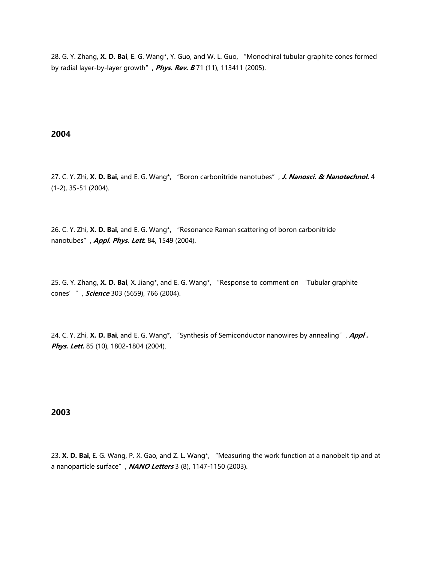28. G. Y. Zhang, **X. D. Bai**, E. G. Wang\*, Y. Guo, and W. L. Guo, "Monochiral tubular graphite cones formed by radial layer-by-layer growth", **Phys. Rev. B** 71 (11), 113411 (2005).

### **2004**

27. C. Y. Zhi, **X. D. Bai**, and E. G. Wang\*, "Boron carbonitride nanotubes", **J. Nanosci. & Nanotechnol.** 4 (1-2), 35-51 (2004).

26. C. Y. Zhi, **X. D. Bai**, and E. G. Wang\*, "Resonance Raman scattering of boron carbonitride nanotubes", **Appl. Phys. Lett.** 84, 1549 (2004).

25. G. Y. Zhang, **X. D. Bai**, X. Jiang\*, and E. G. Wang\*, "Response to comment on 'Tubular graphite cones'", **Science** 303 (5659), 766 (2004).

24. C. Y. Zhi, **X. D. Bai**, and E. G. Wang\*, "Synthesis of Semiconductor nanowires by annealing", **Appl .**  Phys. Lett. 85 (10), 1802-1804 (2004).

#### **2003**

23. **X. D. Bai**, E. G. Wang, P. X. Gao, and Z. L. Wang\*, "Measuring the work function at a nanobelt tip and at a nanoparticle surface", **NANO Letters** 3 (8), 1147-1150 (2003).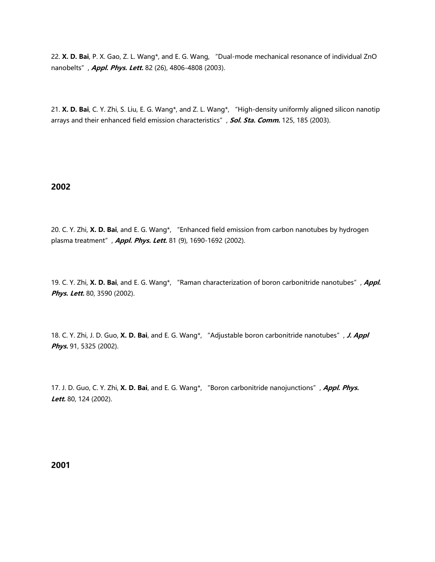22. **X. D. Bai**, P. X. Gao, Z. L. Wang\*, and E. G. Wang, "Dual-mode mechanical resonance of individual ZnO nanobelts", **Appl. Phys. Lett.** 82 (26), 4806-4808 (2003).

21. **X. D. Bai**, C. Y. Zhi, S. Liu, E. G. Wang\*, and Z. L. Wang\*, "High-density uniformly aligned silicon nanotip arrays and their enhanced field emission characteristics", **Sol. Sta. Comm.** 125, 185 (2003).

### **2002**

20. C. Y. Zhi, **X. D. Bai**, and E. G. Wang\*, "Enhanced field emission from carbon nanotubes by hydrogen plasma treatment", **Appl. Phys. Lett.** 81 (9), 1690-1692 (2002).

19. C. Y. Zhi, **X. D. Bai**, and E. G. Wang\*, "Raman characterization of boron carbonitride nanotubes", **Appl. Phys. Lett.** 80, 3590 (2002).

18. C. Y. Zhi, J. D. Guo, **X. D. Bai**, and E. G. Wang\*, "Adjustable boron carbonitride nanotubes", **J. Appl Phys.** 91, 5325 (2002).

17. J. D. Guo, C. Y. Zhi, **X. D. Bai**, and E. G. Wang\*, "Boron carbonitride nanojunctions", **Appl. Phys. Lett.** 80, 124 (2002).

**2001**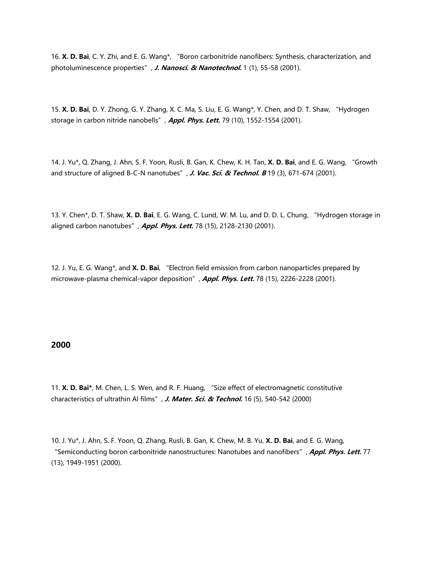16. **X. D. Bai**, C. Y. Zhi, and E. G. Wang\*, "Boron carbonitride nanofibers: Synthesis, characterization, and photoluminescence properties", **J. Nanosci. & Nanotechnol.** 1 (1), 55-58 (2001).

15. **X. D. Bai**, D. Y. Zhong, G. Y. Zhang, X. C. Ma, S. Liu, E. G. Wang\*, Y. Chen, and D. T. Shaw, "Hydrogen storage in carbon nitride nanobells", **Appl. Phys. Lett.** 79 (10), 1552-1554 (2001).

14. J. Yu\*, Q. Zhang, J. Ahn, S. F. Yoon, Rusli, B. Gan, K. Chew, K. H. Tan, **X. D. Bai**, and E. G. Wang, "Growth and structure of aligned B-C-N nanotubes", *J. Vac. Sci. & Technol. B* 19 (3), 671-674 (2001).

13. Y. Chen\*, D. T. Shaw, **X. D. Bai**, E. G. Wang, C. Lund, W. M. Lu, and D. D. L. Chung, "Hydrogen storage in aligned carbon nanotubes", **Appl. Phys. Lett.** 78 (15), 2128-2130 (2001).

12. J. Yu, E. G. Wang\*, and **X. D. Bai**, "Electron field emission from carbon nanoparticles prepared by microwave-plasma chemical-vapor deposition", **Appl. Phys. Lett.** 78 (15), 2226-2228 (2001).

### **2000**

11. **X. D. Bai\***, M. Chen, L. S. Wen, and R. F. Huang, "Size effect of electromagnetic constitutive characteristics of ultrathin Al films", **J. Mater. Sci. & Technol.** 16 (5), 540-542 (2000)

10. J. Yu\*, J. Ahn, S. F. Yoon, Q. Zhang, Rusli, B. Gan, K. Chew, M. B. Yu, **X. D. Bai**, and E. G. Wang, "Semiconducting boron carbonitride nanostructures: Nanotubes and nanofibers", **Appl. Phys. Lett.** 77 (13), 1949-1951 (2000).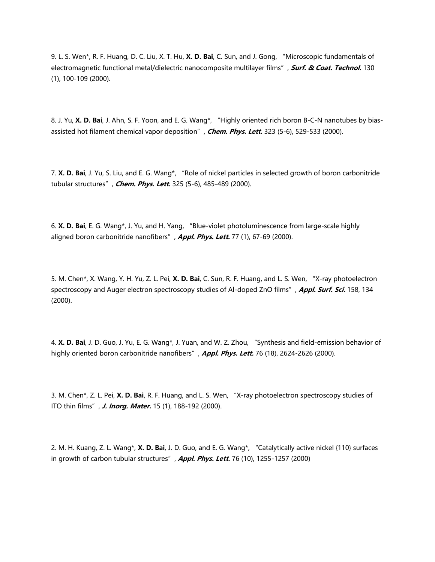9. L. S. Wen\*, R. F. Huang, D. C. Liu, X. T. Hu, **X. D. Bai**, C. Sun, and J. Gong, "Microscopic fundamentals of electromagnetic functional metal/dielectric nanocomposite multilayer films", **Surf. & Coat. Technol.** 130 (1), 100-109 (2000).

8. J. Yu, **X. D. Bai**, J. Ahn, S. F. Yoon, and E. G. Wang\*, "Highly oriented rich boron B-C-N nanotubes by biasassisted hot filament chemical vapor deposition", **Chem. Phys. Lett.** 323 (5-6), 529-533 (2000).

7. **X. D. Bai**, J. Yu, S. Liu, and E. G. Wang\*, "Role of nickel particles in selected growth of boron carbonitride tubular structures", **Chem. Phys. Lett.** 325 (5-6), 485-489 (2000).

6. **X. D. Bai**, E. G. Wang\*, J. Yu, and H. Yang, "Blue-violet photoluminescence from large-scale highly aligned boron carbonitride nanofibers", **Appl. Phys. Lett.** 77 (1), 67-69 (2000).

5. M. Chen\*, X. Wang, Y. H. Yu, Z. L. Pei, **X. D. Bai**, C. Sun, R. F. Huang, and L. S. Wen, "X-ray photoelectron spectroscopy and Auger electron spectroscopy studies of Al-doped ZnO films", **Appl. Surf. Sci.** 158, 134 (2000).

4. **X. D. Bai**, J. D. Guo, J. Yu, E. G. Wang\*, J. Yuan, and W. Z. Zhou, "Synthesis and field-emission behavior of highly oriented boron carbonitride nanofibers", **Appl. Phys. Lett.** 76 (18), 2624-2626 (2000).

3. M. Chen\*, Z. L. Pei, **X. D. Bai**, R. F. Huang, and L. S. Wen, "X-ray photoelectron spectroscopy studies of ITO thin films", **J. Inorg. Mater.** 15 (1), 188-192 (2000).

2. M. H. Kuang, Z. L. Wang\*, **X. D. Bai**, J. D. Guo, and E. G. Wang\*, "Catalytically active nickel {110} surfaces in growth of carbon tubular structures", **Appl. Phys. Lett.** 76 (10), 1255-1257 (2000)